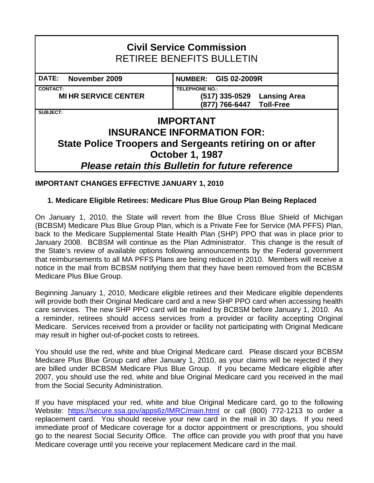# **Civil Service Commission**  RETIREE BENEFITS BULLETIN DATE: November 2009 **NUMBER: GIS 02-2009R CONTACT: TELEPHONE NO.: MI HR SERVICE CENTER (517) 335-0529 Lansing Area (877) 766-6447 Toll-Free SUBJECT: IMPORTANT INSURANCE INFORMATION FOR: State Police Troopers and Sergeants retiring on or after October 1, 1987**  *Please retain this Bulletin for future reference*

### **IMPORTANT CHANGES EFFECTIVE JANUARY 1, 2010**

#### **1. Medicare Eligible Retirees: Medicare Plus Blue Group Plan Being Replaced**

On January 1, 2010, the State will revert from the Blue Cross Blue Shield of Michigan (BCBSM) Medicare Plus Blue Group Plan, which is a Private Fee for Service (MA PFFS) Plan, back to the Medicare Supplemental State Health Plan (SHP) PPO that was in place prior to January 2008. BCBSM will continue as the Plan Administrator. This change is the result of the State's review of available options following announcements by the Federal government that reimbursements to all MA PFFS Plans are being reduced in 2010. Members will receive a notice in the mail from BCBSM notifying them that they have been removed from the BCBSM Medicare Plus Blue Group.

Beginning January 1, 2010, Medicare eligible retirees and their Medicare eligible dependents will provide both their Original Medicare card and a new SHP PPO card when accessing health care services. The new SHP PPO card will be mailed by BCBSM before January 1, 2010. As a reminder, retirees should access services from a provider or facility accepting Original Medicare. Services received from a provider or facility not participating with Original Medicare may result in higher out-of-pocket costs to retirees.

You should use the red, white and blue Original Medicare card. Please discard your BCBSM Medicare Plus Blue Group card after January 1, 2010, as your claims will be rejected if they are billed under BCBSM Medicare Plus Blue Group. If you became Medicare eligible after 2007, you should use the red, white and blue Original Medicare card you received in the mail from the Social Security Administration.

If you have misplaced your red, white and blue Original Medicare card, go to the following Website: <https://secure.ssa.gov/apps6z/IMRC/main.html> or call (800) 772-1213 to order a replacement card. You should receive your new card in the mail in 30 days. If you need immediate proof of Medicare coverage for a doctor appointment or prescriptions, you should go to the nearest Social Security Office. The office can provide you with proof that you have Medicare coverage until you receive your replacement Medicare card in the mail.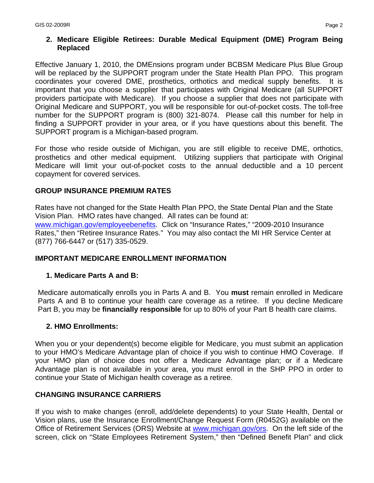#### **2. Medicare Eligible Retirees: Durable Medical Equipment (DME) Program Being Replaced**

Effective January 1, 2010, the DMEnsions program under BCBSM Medicare Plus Blue Group will be replaced by the SUPPORT program under the State Health Plan PPO. This program coordinates your covered DME, prosthetics, orthotics and medical supply benefits. It is important that you choose a supplier that participates with Original Medicare (all SUPPORT providers participate with Medicare). If you choose a supplier that does not participate with Original Medicare and SUPPORT, you will be responsible for out-of-pocket costs. The toll-free number for the SUPPORT program is (800) 321-8074. Please call this number for help in finding a SUPPORT provider in your area, or if you have questions about this benefit. The SUPPORT program is a Michigan-based program.

For those who reside outside of Michigan, you are still eligible to receive DME, orthotics, prosthetics and other medical equipment. Utilizing suppliers that participate with Original Medicare will limit your out-of-pocket costs to the annual deductible and a 10 percent copayment for covered services.

#### **GROUP INSURANCE PREMIUM RATES**

Rates have not changed for the State Health Plan PPO, the State Dental Plan and the State Vision Plan. HMO rates have changed. All rates can be found at: [www.michigan.gov/employeebenefits](http://www.michigan.gov/employeebenefits). Click on "Insurance Rates," "2009-2010 Insurance Rates," then "Retiree Insurance Rates." You may also contact the MI HR Service Center at (877) 766-6447 or (517) 335-0529.

#### **IMPORTANT MEDICARE ENROLLMENT INFORMATION**

#### **1. Medicare Parts A and B:**

Medicare automatically enrolls you in Parts A and B. You **must** remain enrolled in Medicare Parts A and B to continue your health care coverage as a retiree. If you decline Medicare Part B, you may be **financially responsible** for up to 80% of your Part B health care claims.

#### **2. HMO Enrollments:**

When you or your dependent(s) become eligible for Medicare, you must submit an application to your HMO's Medicare Advantage plan of choice if you wish to continue HMO Coverage. If your HMO plan of choice does not offer a Medicare Advantage plan; or if a Medicare Advantage plan is not available in your area, you must enroll in the SHP PPO in order to continue your State of Michigan health coverage as a retiree.

#### **CHANGING INSURANCE CARRIERS**

If you wish to make changes (enroll, add/delete dependents) to your State Health, Dental or Vision plans, use the Insurance Enrollment/Change Request Form (R0452G) available on the Office of Retirement Services (ORS) Website at www.michigan.gov/ors. On the left side of the screen, click on "State Employees Retirement System," then "Defined Benefit Plan" and click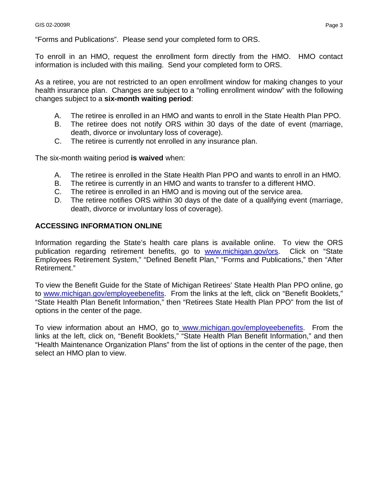"Forms and Publications". Please send your completed form to ORS.

To enroll in an HMO, request the enrollment form directly from the HMO. HMO contact information is included with this mailing. Send your completed form to ORS.

As a retiree, you are not restricted to an open enrollment window for making changes to your health insurance plan. Changes are subject to a "rolling enrollment window" with the following changes subject to a **six-month waiting period**:

- A. The retiree is enrolled in an HMO and wants to enroll in the State Health Plan PPO.
- B. The retiree does not notify ORS within 30 days of the date of event (marriage, death, divorce or involuntary loss of coverage).
- C. The retiree is currently not enrolled in any insurance plan.

The six-month waiting period **is waived** when:

- A. The retiree is enrolled in the State Health Plan PPO and wants to enroll in an HMO.
- B. The retiree is currently in an HMO and wants to transfer to a different HMO.
- C. The retiree is enrolled in an HMO and is moving out of the service area.
- D. The retiree notifies ORS within 30 days of the date of a qualifying event (marriage, death, divorce or involuntary loss of coverage).

#### **ACCESSING INFORMATION ONLINE**

Information regarding the State's health care plans is available online. To view the ORS publication regarding retirement benefits, go to [www.michigan.gov/ors](http://www.michigan.gov/ors). Click on "State Employees Retirement System," "Defined Benefit Plan," "Forms and Publications," then "After Retirement."

To view the Benefit Guide for the State of Michigan Retirees' State Health Plan PPO online, go to [www.michigan.gov/employeebenefits.](http://www.michigan.gov/employeebenefits) From the links at the left, click on "Benefit Booklets," "State Health Plan Benefit Information," then "Retirees State Health Plan PPO" from the list of options in the center of the page.

To view information about an HMO, go to [www.michigan.gov/employeebenefits](http://www.michigan.gov/employeebenefits). From the links at the left, click on, "Benefit Booklets," "State Health Plan Benefit Information," and then "Health Maintenance Organization Plans" from the list of options in the center of the page, then select an HMO plan to view.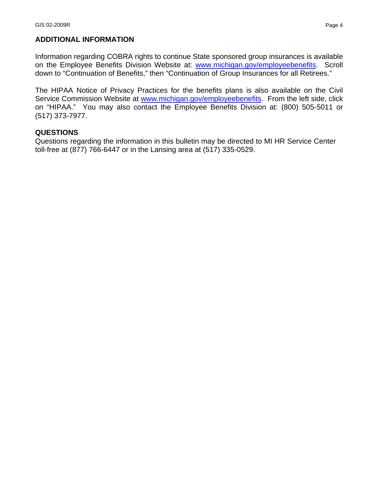#### **ADDITIONAL INFORMATION**

Information regarding COBRA rights to continue State sponsored group insurances is available on the Employee Benefits Division Website at: [www.michigan.gov/employeebenefits.](http://www.michigan.gov/employeebenefits) Scroll down to "Continuation of Benefits," then "Continuation of Group Insurances for all Retirees."

The HIPAA Notice of Privacy Practices for the benefits plans is also available on the Civil Service Commission Website at [www.michigan.gov/employeebenefits](http://www.michigan.gov/employeebenefits). From the left side, click on "HIPAA." You may also contact the Employee Benefits Division at: (800) 505-5011 or (517) 373-7977.

#### **QUESTIONS**

Questions regarding the information in this bulletin may be directed to MI HR Service Center toll-free at (877) 766-6447 or in the Lansing area at (517) 335-0529.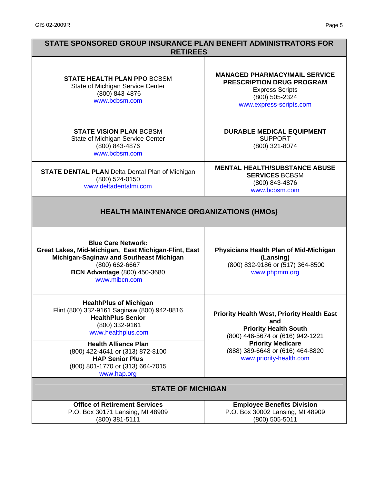| STATE SPONSORED GROUP INSURANCE PLAN BENEFIT ADMINISTRATORS FOR<br><b>RETIREES</b>                                                                                                                     |                                                                                                                                                 |
|--------------------------------------------------------------------------------------------------------------------------------------------------------------------------------------------------------|-------------------------------------------------------------------------------------------------------------------------------------------------|
| <b>STATE HEALTH PLAN PPO BCBSM</b><br>State of Michigan Service Center<br>(800) 843-4876<br>www.bcbsm.com                                                                                              | <b>MANAGED PHARMACY/MAIL SERVICE</b><br><b>PRESCRIPTION DRUG PROGRAM</b><br><b>Express Scripts</b><br>(800) 505-2324<br>www.express-scripts.com |
| <b>STATE VISION PLAN BCBSM</b><br>State of Michigan Service Center<br>(800) 843-4876<br>www.bcbsm.com                                                                                                  | <b>DURABLE MEDICAL EQUIPMENT</b><br><b>SUPPORT</b><br>(800) 321-8074                                                                            |
| <b>STATE DENTAL PLAN</b> Delta Dental Plan of Michigan<br>(800) 524-0150<br>www.deltadentalmi.com                                                                                                      | <b>MENTAL HEALTH/SUBSTANCE ABUSE</b><br><b>SERVICES BCBSM</b><br>(800) 843-4876<br>www.bcbsm.com                                                |
| <b>HEALTH MAINTENANCE ORGANIZATIONS (HMOS)</b>                                                                                                                                                         |                                                                                                                                                 |
| <b>Blue Care Network:</b><br>Great Lakes, Mid-Michigan, East Michigan-Flint, East<br>Michigan-Saginaw and Southeast Michigan<br>(800) 662-6667<br><b>BCN Advantage (800) 450-3680</b><br>www.mibcn.com | <b>Physicians Health Plan of Mid-Michigan</b><br>(Lansing)<br>(800) 832-9186 or (517) 364-8500<br>www.phpmm.org                                 |
| <b>HealthPlus of Michigan</b><br>Flint (800) 332-9161 Saginaw (800) 942-8816<br><b>HealthPlus Senior</b><br>(800) 332-9161<br>www.healthplus.com                                                       | <b>Priority Health West, Priority Health East</b><br>and<br><b>Priority Health South</b><br>(800) 446-5674 or (616) 942-1221                    |
| <b>Health Alliance Plan</b><br>(800) 422-4641 or (313) 872-8100<br><b>HAP Senior Plus</b><br>(800) 801-1770 or (313) 664-7015<br>www.hap.org                                                           | <b>Priority Medicare</b><br>(888) 389-6648 or (616) 464-8820<br>www.priority-health.com                                                         |
| <b>STATE OF MICHIGAN</b>                                                                                                                                                                               |                                                                                                                                                 |
| <b>Office of Retirement Services</b><br>P.O. Box 30171 Lansing, MI 48909<br>(800) 381-5111                                                                                                             | <b>Employee Benefits Division</b><br>P.O. Box 30002 Lansing, MI 48909<br>(800) 505-5011                                                         |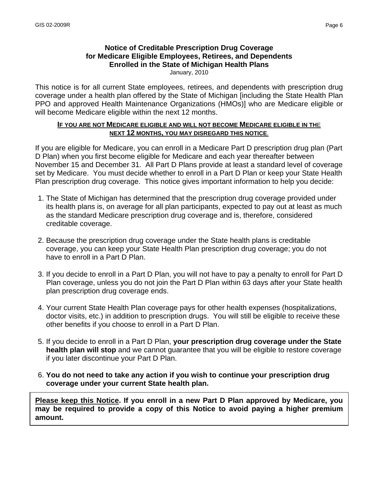# **Notice of Creditable Prescription Drug Coverage for Medicare Eligible Employees, Retirees, and Dependents Enrolled in the State of Michigan Health Plans**

January, 2010

This notice is for all current State employees, retirees, and dependents with prescription drug coverage under a health plan offered by the State of Michigan [including the State Health Plan PPO and approved Health Maintenance Organizations (HMOs)] who are Medicare eligible or will become Medicare eligible within the next 12 months.

#### **IF YOU ARE NOT MEDICARE ELIGIBLE AND WILL NOT BECOME MEDICARE ELIGIBLE IN TH**E **NEXT 12 MONTHS, YOU MAY DISREGARD THIS NOTICE**.

If you are eligible for Medicare, you can enroll in a Medicare Part D prescription drug plan (Part D Plan) when you first become eligible for Medicare and each year thereafter between November 15 and December 31. All Part D Plans provide at least a standard level of coverage set by Medicare. You must decide whether to enroll in a Part D Plan or keep your State Health Plan prescription drug coverage. This notice gives important information to help you decide:

- 1. The State of Michigan has determined that the prescription drug coverage provided under its health plans is, on average for all plan participants, expected to pay out at least as much as the standard Medicare prescription drug coverage and is, therefore, considered creditable coverage.
- 2. Because the prescription drug coverage under the State health plans is creditable coverage, you can keep your State Health Plan prescription drug coverage; you do not have to enroll in a Part D Plan.
- 3. If you decide to enroll in a Part D Plan, you will not have to pay a penalty to enroll for Part D Plan coverage, unless you do not join the Part D Plan within 63 days after your State health plan prescription drug coverage ends.
- 4. Your current State Health Plan coverage pays for other health expenses (hospitalizations, doctor visits, etc.) in addition to prescription drugs. You will still be eligible to receive these other benefits if you choose to enroll in a Part D Plan.
- 5. If you decide to enroll in a Part D Plan, **your prescription drug coverage under the State health plan will stop** and we cannot guarantee that you will be eligible to restore coverage if you later discontinue your Part D Plan.
- 6. **You do not need to take any action if you wish to continue your prescription drug coverage under your current State health plan.**

**Please keep this Notice. If you enroll in a new Part D Plan approved by Medicare, you may be required to provide a copy of this Notice to avoid paying a higher premium amount.**